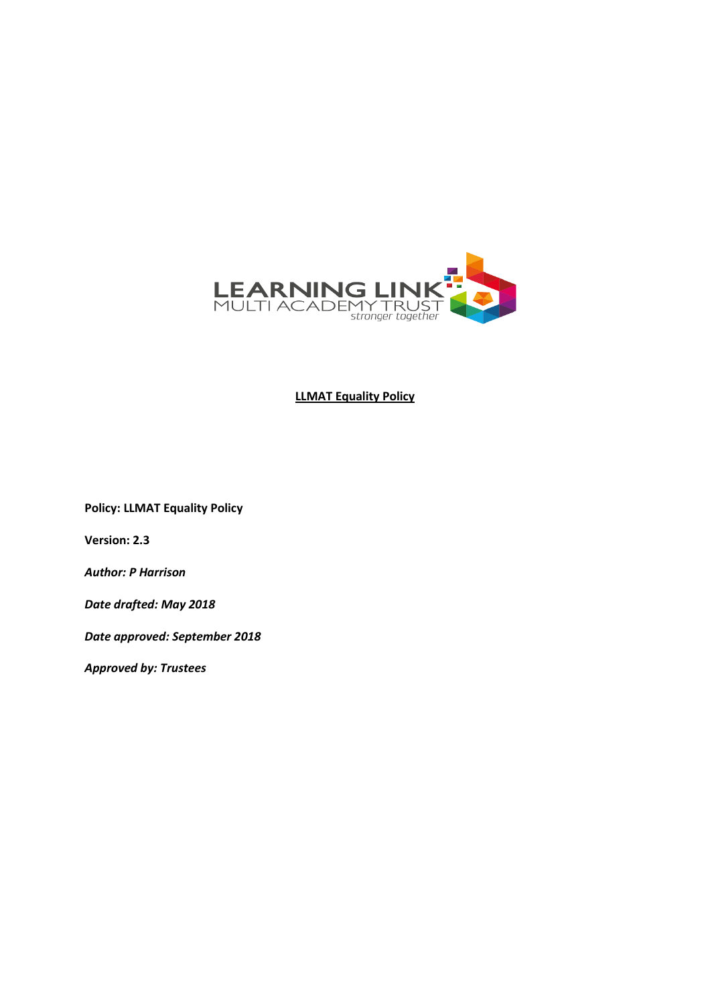

**LLMAT Equality Policy**

**Policy: LLMAT Equality Policy**

**Version: 2.3**

*Author: P Harrison*

*Date drafted: May 2018*

*Date approved: September 2018*

*Approved by: Trustees*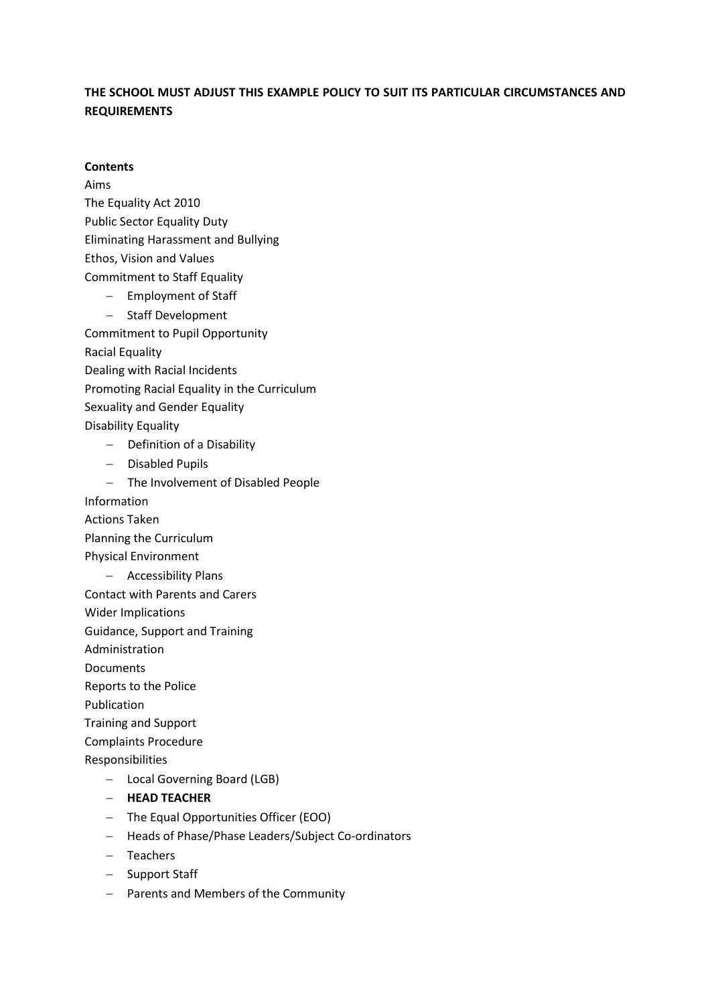# **THE SCHOOL MUST ADJUST THIS EXAMPLE POLICY TO SUIT ITS PARTICULAR CIRCUMSTANCES AND REQUIREMENTS**

#### **Contents**

Aims

The Equality Act 2010 Public Sector Equality Duty Eliminating Harassment and Bullying Ethos, Vision and Values

Commitment to Staff Equality

- − Employment of Staff
- − Staff Development

Commitment to Pupil Opportunity

Racial Equality

Dealing with Racial Incidents

Promoting Racial Equality in the Curriculum

Sexuality and Gender Equality

Disability Equality

- − Definition of a Disability
- − Disabled Pupils
- − The Involvement of Disabled People

Information

Actions Taken

Planning the Curriculum

Physical Environment

− Accessibility Plans

Contact with Parents and Carers

Wider Implications

Guidance, Support and Training

Administration

Documents

Reports to the Police

Publication

Training and Support

Complaints Procedure

Responsibilities

- − Local Governing Board (LGB)
- − **HEAD TEACHER**
- − The Equal Opportunities Officer (EOO)
- − Heads of Phase/Phase Leaders/Subject Co-ordinators
- − Teachers
- − Support Staff
- − Parents and Members of the Community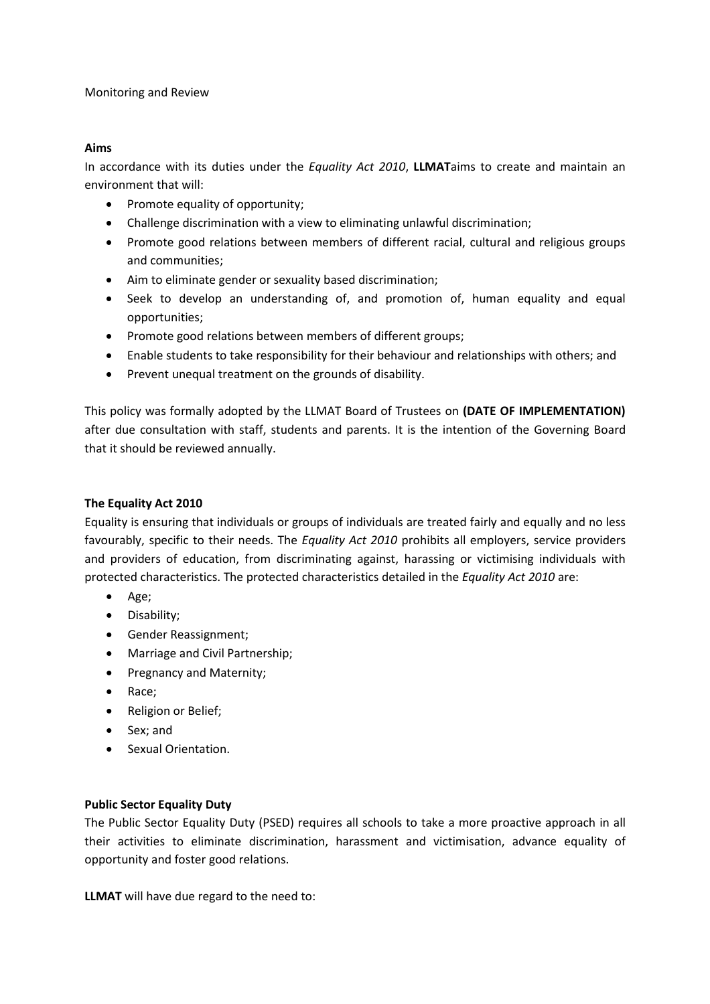#### Monitoring and Review

#### **Aims**

In accordance with its duties under the *Equality Act 2010*, **LLMAT**aims to create and maintain an environment that will:

- Promote equality of opportunity;
- Challenge discrimination with a view to eliminating unlawful discrimination;
- Promote good relations between members of different racial, cultural and religious groups and communities;
- Aim to eliminate gender or sexuality based discrimination;
- Seek to develop an understanding of, and promotion of, human equality and equal opportunities;
- Promote good relations between members of different groups;
- Enable students to take responsibility for their behaviour and relationships with others; and
- Prevent unequal treatment on the grounds of disability.

This policy was formally adopted by the LLMAT Board of Trustees on **(DATE OF IMPLEMENTATION)** after due consultation with staff, students and parents. It is the intention of the Governing Board that it should be reviewed annually.

#### **The Equality Act 2010**

Equality is ensuring that individuals or groups of individuals are treated fairly and equally and no less favourably, specific to their needs. The *Equality Act 2010* prohibits all employers, service providers and providers of education, from discriminating against, harassing or victimising individuals with protected characteristics. The protected characteristics detailed in the *Equality Act 2010* are:

- Age;
- Disability;
- Gender Reassignment;
- Marriage and Civil Partnership;
- Pregnancy and Maternity;
- Race;
- Religion or Belief;
- Sex; and
- Sexual Orientation.

#### **Public Sector Equality Duty**

The Public Sector Equality Duty (PSED) requires all schools to take a more proactive approach in all their activities to eliminate discrimination, harassment and victimisation, advance equality of opportunity and foster good relations.

**LLMAT** will have due regard to the need to: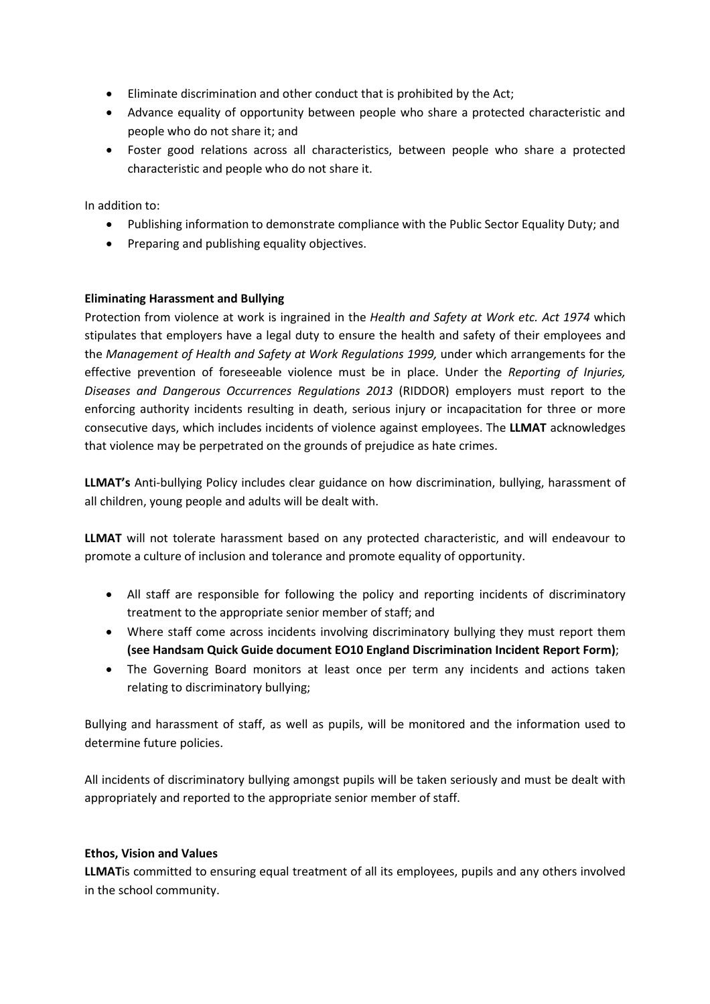- Eliminate discrimination and other conduct that is prohibited by the Act;
- Advance equality of opportunity between people who share a protected characteristic and people who do not share it; and
- Foster good relations across all characteristics, between people who share a protected characteristic and people who do not share it.

In addition to:

- Publishing information to demonstrate compliance with the Public Sector Equality Duty; and
- Preparing and publishing equality objectives.

## **Eliminating Harassment and Bullying**

Protection from violence at work is ingrained in the *Health and Safety at Work etc. Act 1974* which stipulates that employers have a legal duty to ensure the health and safety of their employees and the *Management of Health and Safety at Work Regulations 1999,* under which arrangements for the effective prevention of foreseeable violence must be in place. Under the *Reporting of Injuries, Diseases and Dangerous Occurrences Regulations 2013* (RIDDOR) employers must report to the enforcing authority incidents resulting in death, serious injury or incapacitation for three or more consecutive days, which includes incidents of violence against employees. The **LLMAT** acknowledges that violence may be perpetrated on the grounds of prejudice as hate crimes.

**LLMAT's** Anti-bullying Policy includes clear guidance on how discrimination, bullying, harassment of all children, young people and adults will be dealt with.

**LLMAT** will not tolerate harassment based on any protected characteristic, and will endeavour to promote a culture of inclusion and tolerance and promote equality of opportunity.

- All staff are responsible for following the policy and reporting incidents of discriminatory treatment to the appropriate senior member of staff; and
- Where staff come across incidents involving discriminatory bullying they must report them **(see Handsam Quick Guide document EO10 England Discrimination Incident Report Form)**;
- The Governing Board monitors at least once per term any incidents and actions taken relating to discriminatory bullying;

Bullying and harassment of staff, as well as pupils, will be monitored and the information used to determine future policies.

All incidents of discriminatory bullying amongst pupils will be taken seriously and must be dealt with appropriately and reported to the appropriate senior member of staff.

#### **Ethos, Vision and Values**

**LLMAT**is committed to ensuring equal treatment of all its employees, pupils and any others involved in the school community.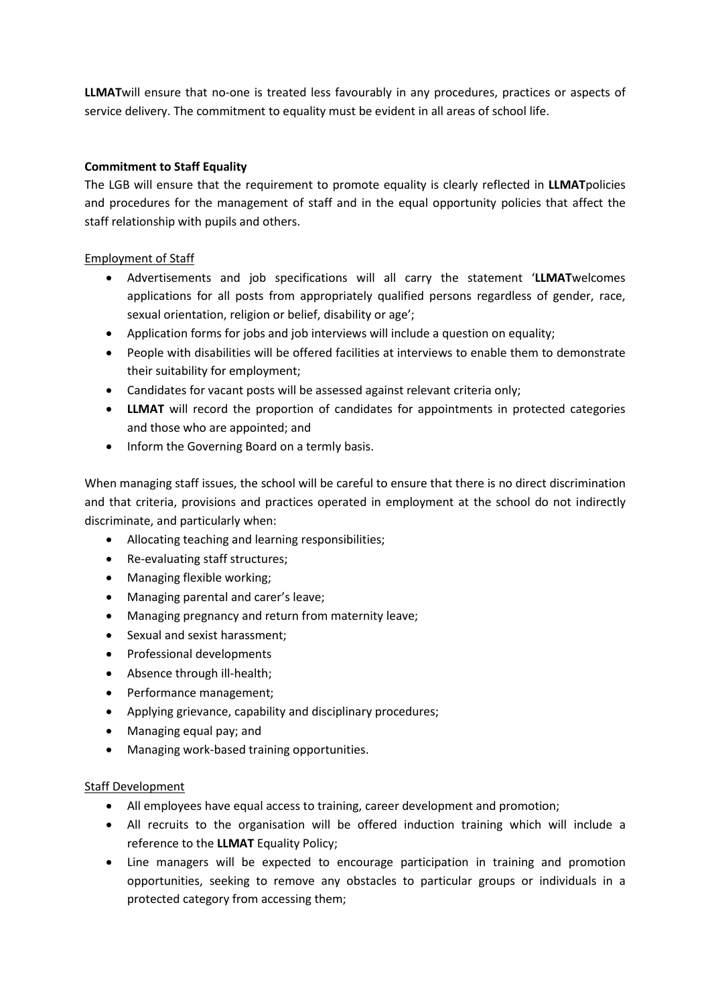**LLMAT**will ensure that no-one is treated less favourably in any procedures, practices or aspects of service delivery. The commitment to equality must be evident in all areas of school life.

## **Commitment to Staff Equality**

The LGB will ensure that the requirement to promote equality is clearly reflected in **LLMAT**policies and procedures for the management of staff and in the equal opportunity policies that affect the staff relationship with pupils and others.

### Employment of Staff

- Advertisements and job specifications will all carry the statement '**LLMAT**welcomes applications for all posts from appropriately qualified persons regardless of gender, race, sexual orientation, religion or belief, disability or age';
- Application forms for jobs and job interviews will include a question on equality;
- People with disabilities will be offered facilities at interviews to enable them to demonstrate their suitability for employment;
- Candidates for vacant posts will be assessed against relevant criteria only;
- **LLMAT** will record the proportion of candidates for appointments in protected categories and those who are appointed; and
- Inform the Governing Board on a termly basis.

When managing staff issues, the school will be careful to ensure that there is no direct discrimination and that criteria, provisions and practices operated in employment at the school do not indirectly discriminate, and particularly when:

- Allocating teaching and learning responsibilities;
- Re-evaluating staff structures;
- Managing flexible working;
- Managing parental and carer's leave;
- Managing pregnancy and return from maternity leave;
- Sexual and sexist harassment;
- Professional developments
- Absence through ill-health;
- Performance management;
- Applying grievance, capability and disciplinary procedures;
- Managing equal pay; and
- Managing work-based training opportunities.

## Staff Development

- All employees have equal access to training, career development and promotion;
- All recruits to the organisation will be offered induction training which will include a reference to the **LLMAT** Equality Policy;
- Line managers will be expected to encourage participation in training and promotion opportunities, seeking to remove any obstacles to particular groups or individuals in a protected category from accessing them;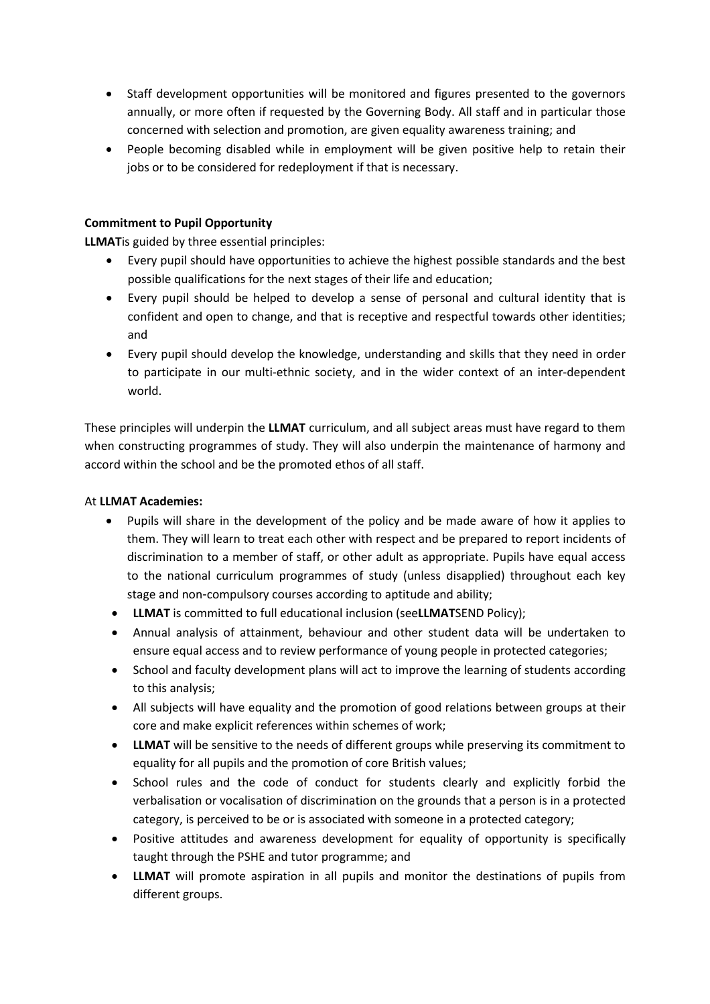- Staff development opportunities will be monitored and figures presented to the governors annually, or more often if requested by the Governing Body. All staff and in particular those concerned with selection and promotion, are given equality awareness training; and
- People becoming disabled while in employment will be given positive help to retain their jobs or to be considered for redeployment if that is necessary.

## **Commitment to Pupil Opportunity**

**LLMAT**is guided by three essential principles:

- Every pupil should have opportunities to achieve the highest possible standards and the best possible qualifications for the next stages of their life and education;
- Every pupil should be helped to develop a sense of personal and cultural identity that is confident and open to change, and that is receptive and respectful towards other identities; and
- Every pupil should develop the knowledge, understanding and skills that they need in order to participate in our multi-ethnic society, and in the wider context of an inter-dependent world.

These principles will underpin the **LLMAT** curriculum, and all subject areas must have regard to them when constructing programmes of study. They will also underpin the maintenance of harmony and accord within the school and be the promoted ethos of all staff.

## At **LLMAT Academies:**

- Pupils will share in the development of the policy and be made aware of how it applies to them. They will learn to treat each other with respect and be prepared to report incidents of discrimination to a member of staff, or other adult as appropriate. Pupils have equal access to the national curriculum programmes of study (unless disapplied) throughout each key stage and non-compulsory courses according to aptitude and ability;
- **LLMAT** is committed to full educational inclusion (see**LLMAT**SEND Policy);
- Annual analysis of attainment, behaviour and other student data will be undertaken to ensure equal access and to review performance of young people in protected categories;
- School and faculty development plans will act to improve the learning of students according to this analysis;
- All subjects will have equality and the promotion of good relations between groups at their core and make explicit references within schemes of work;
- **LLMAT** will be sensitive to the needs of different groups while preserving its commitment to equality for all pupils and the promotion of core British values;
- School rules and the code of conduct for students clearly and explicitly forbid the verbalisation or vocalisation of discrimination on the grounds that a person is in a protected category, is perceived to be or is associated with someone in a protected category;
- Positive attitudes and awareness development for equality of opportunity is specifically taught through the PSHE and tutor programme; and
- **LLMAT** will promote aspiration in all pupils and monitor the destinations of pupils from different groups.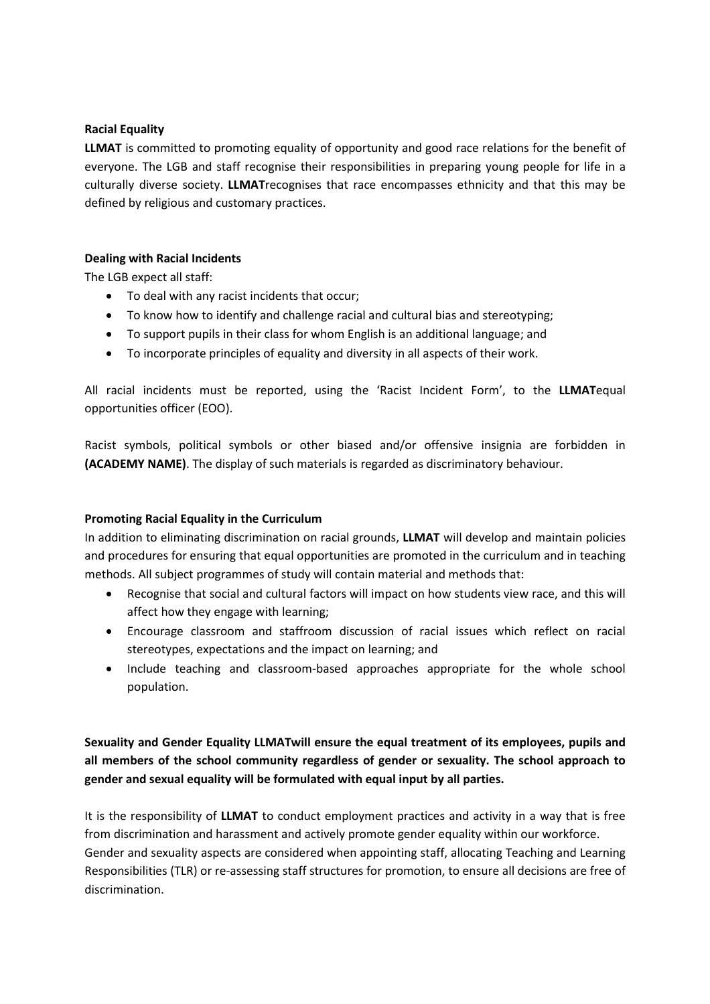### **Racial Equality**

**LLMAT** is committed to promoting equality of opportunity and good race relations for the benefit of everyone. The LGB and staff recognise their responsibilities in preparing young people for life in a culturally diverse society. **LLMAT**recognises that race encompasses ethnicity and that this may be defined by religious and customary practices.

## **Dealing with Racial Incidents**

The LGB expect all staff:

- To deal with any racist incidents that occur;
- To know how to identify and challenge racial and cultural bias and stereotyping;
- To support pupils in their class for whom English is an additional language; and
- To incorporate principles of equality and diversity in all aspects of their work.

All racial incidents must be reported, using the 'Racist Incident Form', to the **LLMAT**equal opportunities officer (EOO).

Racist symbols, political symbols or other biased and/or offensive insignia are forbidden in **(ACADEMY NAME)**. The display of such materials is regarded as discriminatory behaviour.

#### **Promoting Racial Equality in the Curriculum**

In addition to eliminating discrimination on racial grounds, **LLMAT** will develop and maintain policies and procedures for ensuring that equal opportunities are promoted in the curriculum and in teaching methods. All subject programmes of study will contain material and methods that:

- Recognise that social and cultural factors will impact on how students view race, and this will affect how they engage with learning;
- Encourage classroom and staffroom discussion of racial issues which reflect on racial stereotypes, expectations and the impact on learning; and
- Include teaching and classroom-based approaches appropriate for the whole school population.

**Sexuality and Gender Equality LLMATwill ensure the equal treatment of its employees, pupils and all members of the school community regardless of gender or sexuality. The school approach to gender and sexual equality will be formulated with equal input by all parties.**

It is the responsibility of **LLMAT** to conduct employment practices and activity in a way that is free from discrimination and harassment and actively promote gender equality within our workforce. Gender and sexuality aspects are considered when appointing staff, allocating Teaching and Learning Responsibilities (TLR) or re-assessing staff structures for promotion, to ensure all decisions are free of discrimination.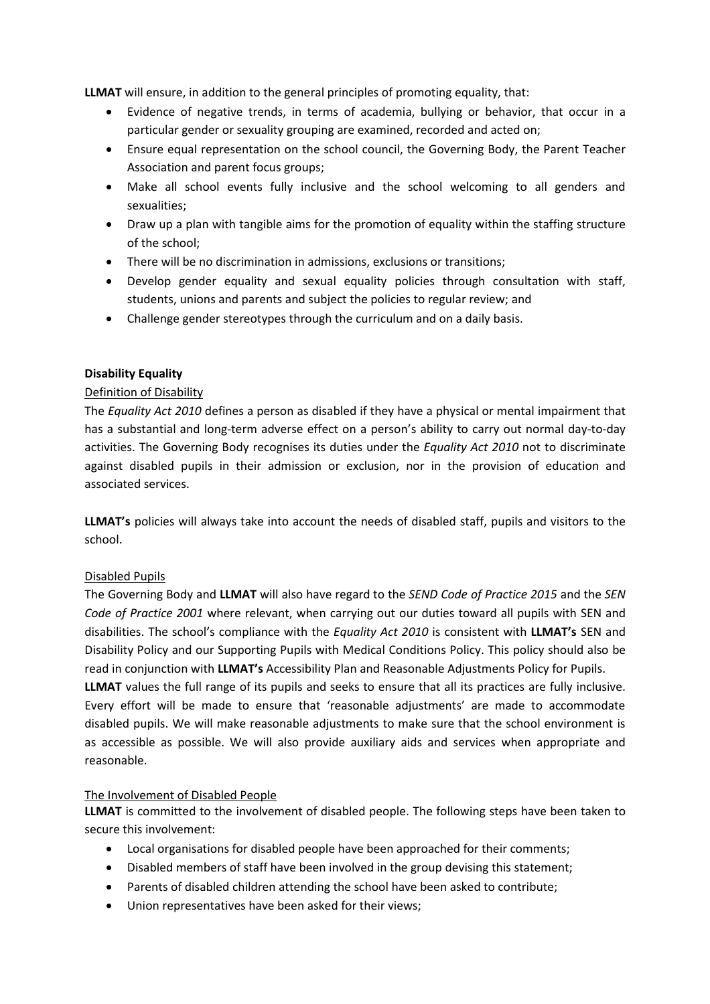**LLMAT** will ensure, in addition to the general principles of promoting equality, that:

- Evidence of negative trends, in terms of academia, bullying or behavior, that occur in a particular gender or sexuality grouping are examined, recorded and acted on;
- Ensure equal representation on the school council, the Governing Body, the Parent Teacher Association and parent focus groups;
- Make all school events fully inclusive and the school welcoming to all genders and sexualities;
- Draw up a plan with tangible aims for the promotion of equality within the staffing structure of the school;
- There will be no discrimination in admissions, exclusions or transitions;
- Develop gender equality and sexual equality policies through consultation with staff, students, unions and parents and subject the policies to regular review; and
- Challenge gender stereotypes through the curriculum and on a daily basis.

### **Disability Equality**

### Definition of Disability

The *Equality Act 2010* defines a person as disabled if they have a physical or mental impairment that has a substantial and long-term adverse effect on a person's ability to carry out normal day-to-day activities. The Governing Body recognises its duties under the *Equality Act 2010* not to discriminate against disabled pupils in their admission or exclusion, nor in the provision of education and associated services.

**LLMAT's** policies will always take into account the needs of disabled staff, pupils and visitors to the school.

## Disabled Pupils

The Governing Body and **LLMAT** will also have regard to the *SEND Code of Practice 2015* and the *SEN Code of Practice 2001* where relevant, when carrying out our duties toward all pupils with SEN and disabilities. The school's compliance with the *Equality Act 2010* is consistent with **LLMAT's** SEN and Disability Policy and our Supporting Pupils with Medical Conditions Policy. This policy should also be read in conjunction with **LLMAT's** Accessibility Plan and Reasonable Adjustments Policy for Pupils.

**LLMAT** values the full range of its pupils and seeks to ensure that all its practices are fully inclusive. Every effort will be made to ensure that 'reasonable adjustments' are made to accommodate disabled pupils. We will make reasonable adjustments to make sure that the school environment is as accessible as possible. We will also provide auxiliary aids and services when appropriate and reasonable.

#### The Involvement of Disabled People

**LLMAT** is committed to the involvement of disabled people. The following steps have been taken to secure this involvement:

- Local organisations for disabled people have been approached for their comments;
- Disabled members of staff have been involved in the group devising this statement;
- Parents of disabled children attending the school have been asked to contribute;
- Union representatives have been asked for their views;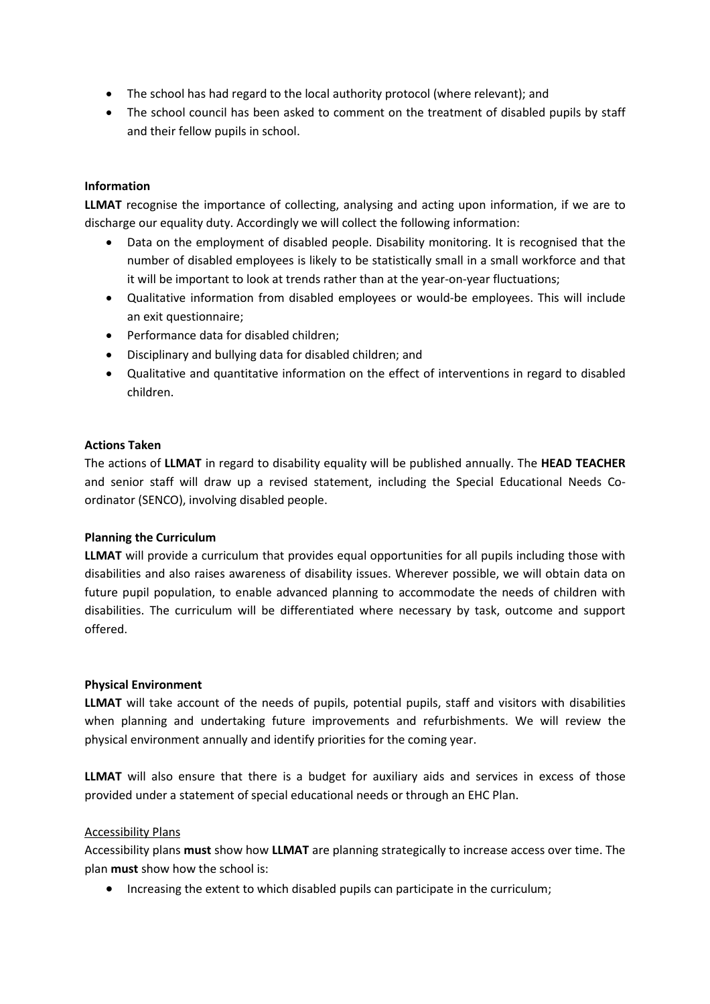- The school has had regard to the local authority protocol (where relevant); and
- The school council has been asked to comment on the treatment of disabled pupils by staff and their fellow pupils in school.

## **Information**

**LLMAT** recognise the importance of collecting, analysing and acting upon information, if we are to discharge our equality duty. Accordingly we will collect the following information:

- Data on the employment of disabled people. Disability monitoring. It is recognised that the number of disabled employees is likely to be statistically small in a small workforce and that it will be important to look at trends rather than at the year-on-year fluctuations;
- Qualitative information from disabled employees or would-be employees. This will include an exit questionnaire;
- Performance data for disabled children;
- Disciplinary and bullying data for disabled children; and
- Qualitative and quantitative information on the effect of interventions in regard to disabled children.

#### **Actions Taken**

The actions of **LLMAT** in regard to disability equality will be published annually. The **HEAD TEACHER** and senior staff will draw up a revised statement, including the Special Educational Needs Coordinator (SENCO), involving disabled people.

#### **Planning the Curriculum**

**LLMAT** will provide a curriculum that provides equal opportunities for all pupils including those with disabilities and also raises awareness of disability issues. Wherever possible, we will obtain data on future pupil population, to enable advanced planning to accommodate the needs of children with disabilities. The curriculum will be differentiated where necessary by task, outcome and support offered.

#### **Physical Environment**

**LLMAT** will take account of the needs of pupils, potential pupils, staff and visitors with disabilities when planning and undertaking future improvements and refurbishments. We will review the physical environment annually and identify priorities for the coming year.

**LLMAT** will also ensure that there is a budget for auxiliary aids and services in excess of those provided under a statement of special educational needs or through an EHC Plan.

#### Accessibility Plans

Accessibility plans **must** show how **LLMAT** are planning strategically to increase access over time. The plan **must** show how the school is:

• Increasing the extent to which disabled pupils can participate in the curriculum;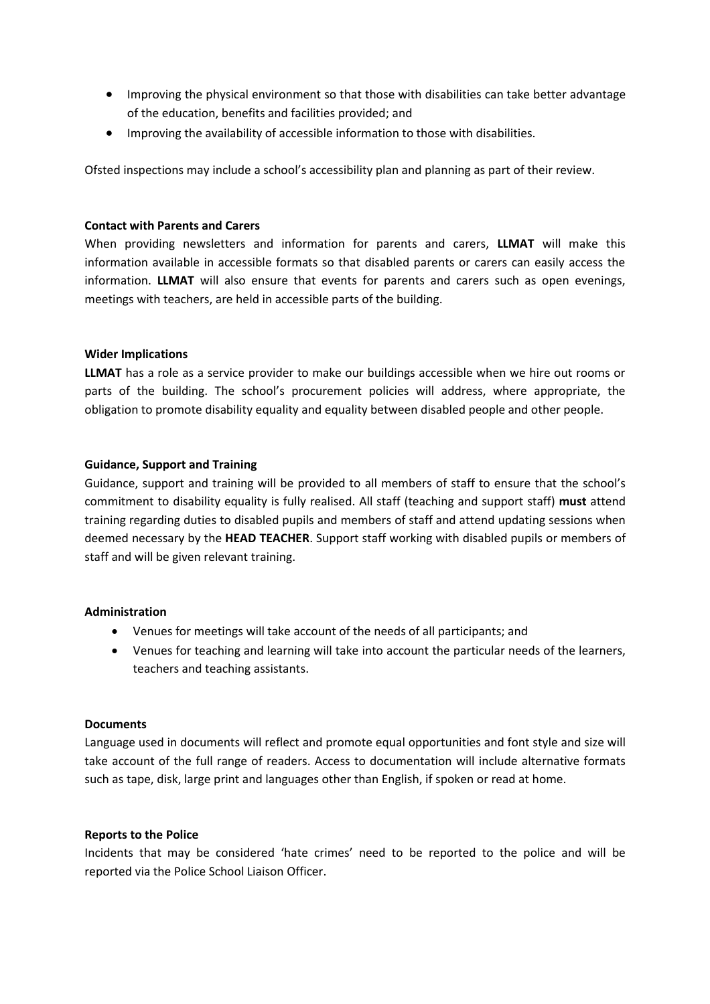- Improving the physical environment so that those with disabilities can take better advantage of the education, benefits and facilities provided; and
- Improving the availability of accessible information to those with disabilities.

Ofsted inspections may include a school's accessibility plan and planning as part of their review.

#### **Contact with Parents and Carers**

When providing newsletters and information for parents and carers, **LLMAT** will make this information available in accessible formats so that disabled parents or carers can easily access the information. **LLMAT** will also ensure that events for parents and carers such as open evenings, meetings with teachers, are held in accessible parts of the building.

### **Wider Implications**

**LLMAT** has a role as a service provider to make our buildings accessible when we hire out rooms or parts of the building. The school's procurement policies will address, where appropriate, the obligation to promote disability equality and equality between disabled people and other people.

#### **Guidance, Support and Training**

Guidance, support and training will be provided to all members of staff to ensure that the school's commitment to disability equality is fully realised. All staff (teaching and support staff) **must** attend training regarding duties to disabled pupils and members of staff and attend updating sessions when deemed necessary by the **HEAD TEACHER**. Support staff working with disabled pupils or members of staff and will be given relevant training.

#### **Administration**

- Venues for meetings will take account of the needs of all participants; and
- Venues for teaching and learning will take into account the particular needs of the learners, teachers and teaching assistants.

#### **Documents**

Language used in documents will reflect and promote equal opportunities and font style and size will take account of the full range of readers. Access to documentation will include alternative formats such as tape, disk, large print and languages other than English, if spoken or read at home.

#### **Reports to the Police**

Incidents that may be considered 'hate crimes' need to be reported to the police and will be reported via the Police School Liaison Officer.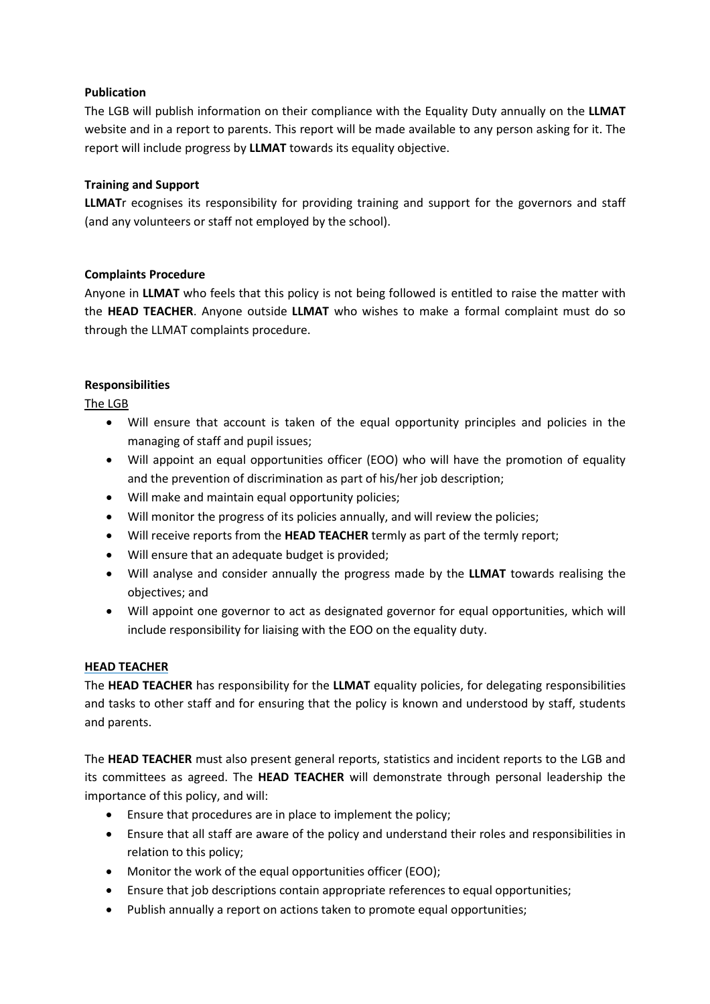## **Publication**

The LGB will publish information on their compliance with the Equality Duty annually on the **LLMAT** website and in a report to parents. This report will be made available to any person asking for it. The report will include progress by **LLMAT** towards its equality objective.

## **Training and Support**

**LLMAT**r ecognises its responsibility for providing training and support for the governors and staff (and any volunteers or staff not employed by the school).

### **Complaints Procedure**

Anyone in **LLMAT** who feels that this policy is not being followed is entitled to raise the matter with the **HEAD TEACHER**. Anyone outside **LLMAT** who wishes to make a formal complaint must do so through the LLMAT complaints procedure.

### **Responsibilities**

The LGB

- Will ensure that account is taken of the equal opportunity principles and policies in the managing of staff and pupil issues;
- Will appoint an equal opportunities officer (EOO) who will have the promotion of equality and the prevention of discrimination as part of his/her job description;
- Will make and maintain equal opportunity policies;
- Will monitor the progress of its policies annually, and will review the policies;
- Will receive reports from the **HEAD TEACHER** termly as part of the termly report;
- Will ensure that an adequate budget is provided;
- Will analyse and consider annually the progress made by the **LLMAT** towards realising the objectives; and
- Will appoint one governor to act as designated governor for equal opportunities, which will include responsibility for liaising with the EOO on the equality duty.

#### **HEAD TEACHER**

The **HEAD TEACHER** has responsibility for the **LLMAT** equality policies, for delegating responsibilities and tasks to other staff and for ensuring that the policy is known and understood by staff, students and parents.

The **HEAD TEACHER** must also present general reports, statistics and incident reports to the LGB and its committees as agreed. The **HEAD TEACHER** will demonstrate through personal leadership the importance of this policy, and will:

- Ensure that procedures are in place to implement the policy;
- Ensure that all staff are aware of the policy and understand their roles and responsibilities in relation to this policy;
- Monitor the work of the equal opportunities officer (EOO);
- Ensure that job descriptions contain appropriate references to equal opportunities;
- Publish annually a report on actions taken to promote equal opportunities;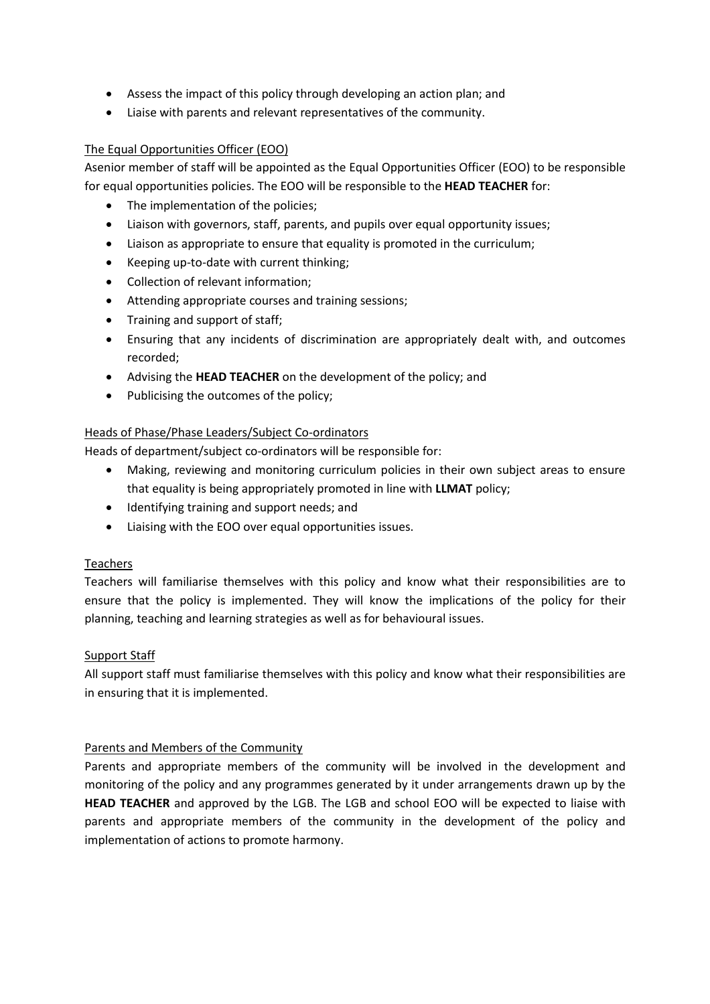- Assess the impact of this policy through developing an action plan; and
- Liaise with parents and relevant representatives of the community.

## The Equal Opportunities Officer (EOO)

Asenior member of staff will be appointed as the Equal Opportunities Officer (EOO) to be responsible for equal opportunities policies. The EOO will be responsible to the **HEAD TEACHER** for:

- The implementation of the policies;
- Liaison with governors, staff, parents, and pupils over equal opportunity issues;
- Liaison as appropriate to ensure that equality is promoted in the curriculum;
- Keeping up-to-date with current thinking;
- Collection of relevant information;
- Attending appropriate courses and training sessions;
- Training and support of staff;
- Ensuring that any incidents of discrimination are appropriately dealt with, and outcomes recorded;
- Advising the **HEAD TEACHER** on the development of the policy; and
- Publicising the outcomes of the policy;

## Heads of Phase/Phase Leaders/Subject Co-ordinators

Heads of department/subject co-ordinators will be responsible for:

- Making, reviewing and monitoring curriculum policies in their own subject areas to ensure that equality is being appropriately promoted in line with **LLMAT** policy;
- Identifying training and support needs; and
- Liaising with the EOO over equal opportunities issues.

## **Teachers**

Teachers will familiarise themselves with this policy and know what their responsibilities are to ensure that the policy is implemented. They will know the implications of the policy for their planning, teaching and learning strategies as well as for behavioural issues.

## Support Staff

All support staff must familiarise themselves with this policy and know what their responsibilities are in ensuring that it is implemented.

## Parents and Members of the Community

Parents and appropriate members of the community will be involved in the development and monitoring of the policy and any programmes generated by it under arrangements drawn up by the **HEAD TEACHER** and approved by the LGB. The LGB and school EOO will be expected to liaise with parents and appropriate members of the community in the development of the policy and implementation of actions to promote harmony.